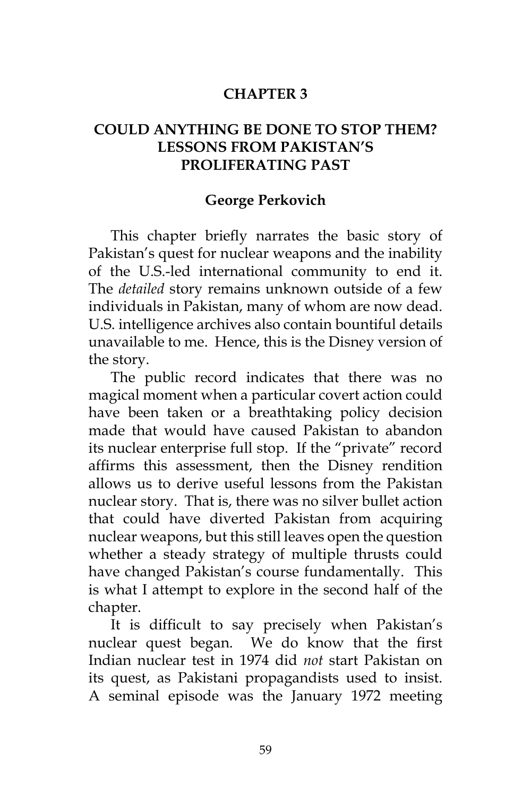## **CHAPTER 3**

## **COULD ANYTHING BE DONE TO STOP THEM? LESSONS FROM PAKISTAN'S PROLIFERATING PAST**

## **George Perkovich**

This chapter briefly narrates the basic story of Pakistan's quest for nuclear weapons and the inability of the U.S.-led international community to end it. The *detailed* story remains unknown outside of a few individuals in Pakistan, many of whom are now dead. U.S. intelligence archives also contain bountiful details unavailable to me. Hence, this is the Disney version of the story.

The public record indicates that there was no magical moment when a particular covert action could have been taken or a breathtaking policy decision made that would have caused Pakistan to abandon its nuclear enterprise full stop. If the "private" record affirms this assessment, then the Disney rendition allows us to derive useful lessons from the Pakistan nuclear story. That is, there was no silver bullet action that could have diverted Pakistan from acquiring nuclear weapons, but this still leaves open the question whether a steady strategy of multiple thrusts could have changed Pakistan's course fundamentally. This is what I attempt to explore in the second half of the chapter.

It is difficult to say precisely when Pakistan's nuclear quest began. We do know that the first Indian nuclear test in 1974 did *not* start Pakistan on its quest, as Pakistani propagandists used to insist. A seminal episode was the January 1972 meeting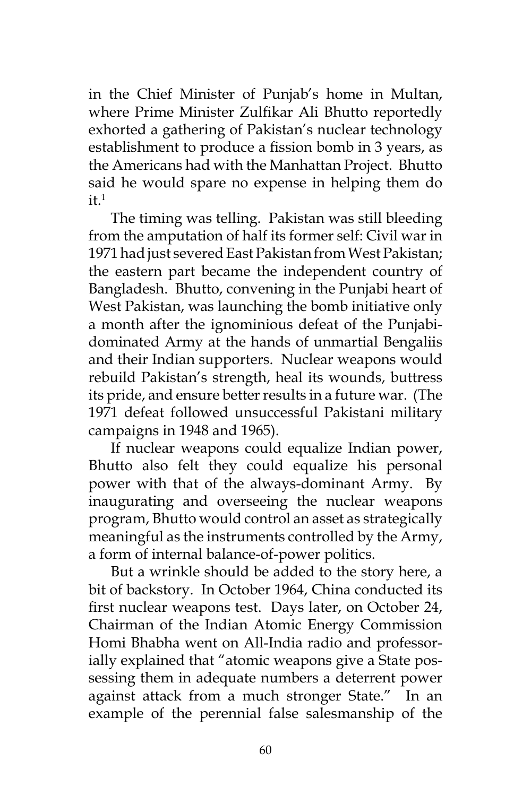in the Chief Minister of Punjab's home in Multan, where Prime Minister Zulfikar Ali Bhutto reportedly exhorted a gathering of Pakistan's nuclear technology establishment to produce a fission bomb in 3 years, as the Americans had with the Manhattan Project. Bhutto said he would spare no expense in helping them do  $it<sup>1</sup>$ 

The timing was telling. Pakistan was still bleeding from the amputation of half its former self: Civil war in 1971 had just severed East Pakistan from West Pakistan; the eastern part became the independent country of Bangladesh. Bhutto, convening in the Punjabi heart of West Pakistan, was launching the bomb initiative only a month after the ignominious defeat of the Punjabidominated Army at the hands of unmartial Bengaliis and their Indian supporters. Nuclear weapons would rebuild Pakistan's strength, heal its wounds, buttress its pride, and ensure better results in a future war. (The 1971 defeat followed unsuccessful Pakistani military campaigns in 1948 and 1965).

If nuclear weapons could equalize Indian power, Bhutto also felt they could equalize his personal power with that of the always-dominant Army. By inaugurating and overseeing the nuclear weapons program, Bhutto would control an asset as strategically meaningful as the instruments controlled by the Army, a form of internal balance-of-power politics.

But a wrinkle should be added to the story here, a bit of backstory. In October 1964, China conducted its first nuclear weapons test. Days later, on October 24, Chairman of the Indian Atomic Energy Commission Homi Bhabha went on All-India radio and professorially explained that "atomic weapons give a State possessing them in adequate numbers a deterrent power against attack from a much stronger State." In an example of the perennial false salesmanship of the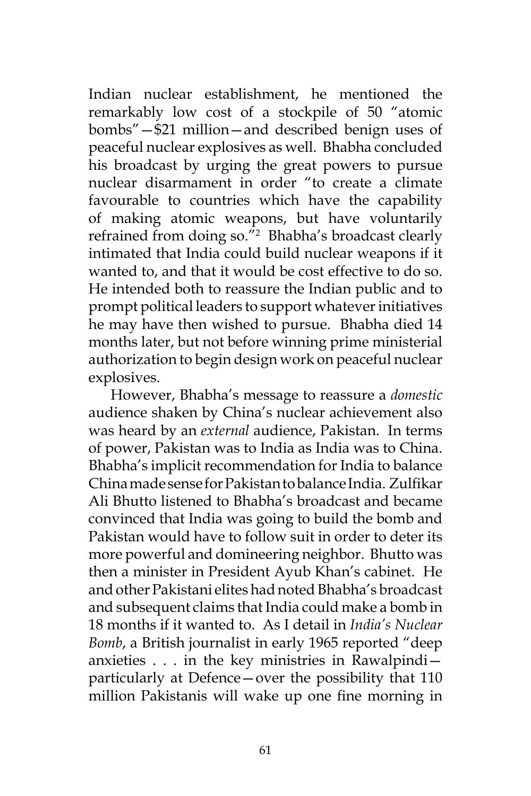Indian nuclear establishment, he mentioned the remarkably low cost of a stockpile of 50 "atomic bombs"—\$21 million—and described benign uses of peaceful nuclear explosives as well. Bhabha concluded his broadcast by urging the great powers to pursue nuclear disarmament in order "to create a climate favourable to countries which have the capability of making atomic weapons, but have voluntarily refrained from doing so."2 Bhabha's broadcast clearly intimated that India could build nuclear weapons if it wanted to, and that it would be cost effective to do so. He intended both to reassure the Indian public and to prompt political leaders to support whatever initiatives he may have then wished to pursue. Bhabha died 14 months later, but not before winning prime ministerial authorization to begin design work on peaceful nuclear explosives.

However, Bhabha's message to reassure a *domestic* audience shaken by China's nuclear achievement also was heard by an *external* audience, Pakistan. In terms of power, Pakistan was to India as India was to China. Bhabha's implicit recommendation for India to balance China made sense for Pakistan to balance India. Zulfikar Ali Bhutto listened to Bhabha's broadcast and became convinced that India was going to build the bomb and Pakistan would have to follow suit in order to deter its more powerful and domineering neighbor. Bhutto was then a minister in President Ayub Khan's cabinet. He and other Pakistani elites had noted Bhabha's broadcast and subsequent claims that India could make a bomb in 18 months if it wanted to. As I detail in *India's Nuclear Bomb*, a British journalist in early 1965 reported "deep anxieties . . . in the key ministries in Rawalpindi particularly at Defence—over the possibility that 110 million Pakistanis will wake up one fine morning in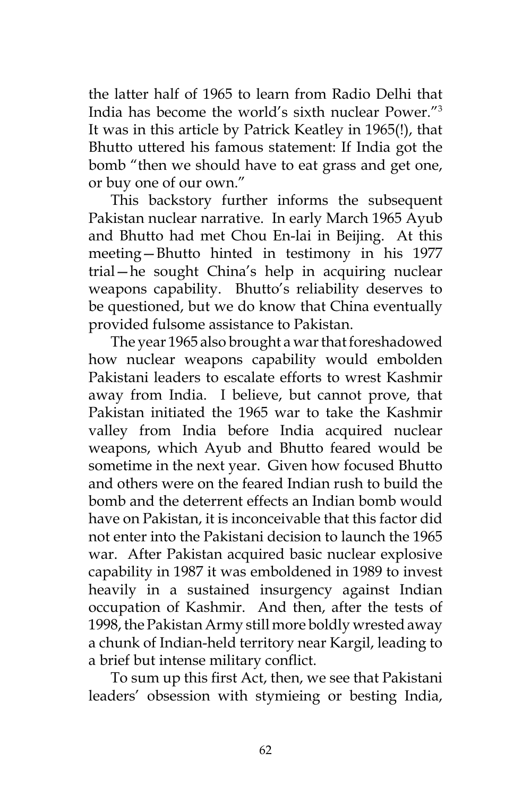the latter half of 1965 to learn from Radio Delhi that India has become the world's sixth nuclear Power."3 It was in this article by Patrick Keatley in 1965(!), that Bhutto uttered his famous statement: If India got the bomb "then we should have to eat grass and get one, or buy one of our own."

This backstory further informs the subsequent Pakistan nuclear narrative. In early March 1965 Ayub and Bhutto had met Chou En-lai in Beijing. At this meeting—Bhutto hinted in testimony in his 1977 trial—he sought China's help in acquiring nuclear weapons capability. Bhutto's reliability deserves to be questioned, but we do know that China eventually provided fulsome assistance to Pakistan.

The year 1965 also brought a war that foreshadowed how nuclear weapons capability would embolden Pakistani leaders to escalate efforts to wrest Kashmir away from India. I believe, but cannot prove, that Pakistan initiated the 1965 war to take the Kashmir valley from India before India acquired nuclear weapons, which Ayub and Bhutto feared would be sometime in the next year. Given how focused Bhutto and others were on the feared Indian rush to build the bomb and the deterrent effects an Indian bomb would have on Pakistan, it is inconceivable that this factor did not enter into the Pakistani decision to launch the 1965 war. After Pakistan acquired basic nuclear explosive capability in 1987 it was emboldened in 1989 to invest heavily in a sustained insurgency against Indian occupation of Kashmir. And then, after the tests of 1998, the Pakistan Army still more boldly wrested away a chunk of Indian-held territory near Kargil, leading to a brief but intense military conflict.

To sum up this first Act, then, we see that Pakistani leaders' obsession with stymieing or besting India,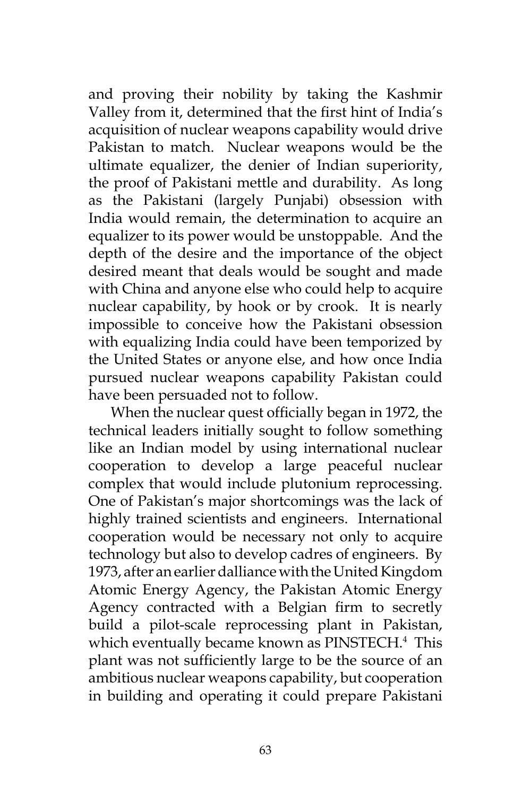and proving their nobility by taking the Kashmir Valley from it, determined that the first hint of India's acquisition of nuclear weapons capability would drive Pakistan to match. Nuclear weapons would be the ultimate equalizer, the denier of Indian superiority, the proof of Pakistani mettle and durability. As long as the Pakistani (largely Punjabi) obsession with India would remain, the determination to acquire an equalizer to its power would be unstoppable. And the depth of the desire and the importance of the object desired meant that deals would be sought and made with China and anyone else who could help to acquire nuclear capability, by hook or by crook. It is nearly impossible to conceive how the Pakistani obsession with equalizing India could have been temporized by the United States or anyone else, and how once India pursued nuclear weapons capability Pakistan could have been persuaded not to follow.

When the nuclear quest officially began in 1972, the technical leaders initially sought to follow something like an Indian model by using international nuclear cooperation to develop a large peaceful nuclear complex that would include plutonium reprocessing. One of Pakistan's major shortcomings was the lack of highly trained scientists and engineers. International cooperation would be necessary not only to acquire technology but also to develop cadres of engineers. By 1973, after an earlier dalliance with the United Kingdom Atomic Energy Agency, the Pakistan Atomic Energy Agency contracted with a Belgian firm to secretly build a pilot-scale reprocessing plant in Pakistan, which eventually became known as PINSTECH.<sup>4</sup> This plant was not sufficiently large to be the source of an ambitious nuclear weapons capability, but cooperation in building and operating it could prepare Pakistani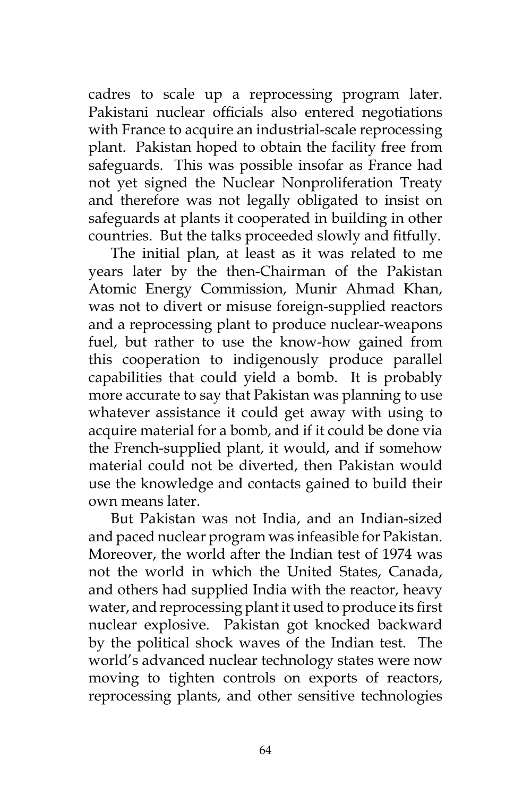cadres to scale up a reprocessing program later. Pakistani nuclear officials also entered negotiations with France to acquire an industrial-scale reprocessing plant. Pakistan hoped to obtain the facility free from safeguards. This was possible insofar as France had not yet signed the Nuclear Nonproliferation Treaty and therefore was not legally obligated to insist on safeguards at plants it cooperated in building in other countries. But the talks proceeded slowly and fitfully.

The initial plan, at least as it was related to me years later by the then-Chairman of the Pakistan Atomic Energy Commission, Munir Ahmad Khan, was not to divert or misuse foreign-supplied reactors and a reprocessing plant to produce nuclear-weapons fuel, but rather to use the know-how gained from this cooperation to indigenously produce parallel capabilities that could yield a bomb. It is probably more accurate to say that Pakistan was planning to use whatever assistance it could get away with using to acquire material for a bomb, and if it could be done via the French-supplied plant, it would, and if somehow material could not be diverted, then Pakistan would use the knowledge and contacts gained to build their own means later.

But Pakistan was not India, and an Indian-sized and paced nuclear program was infeasible for Pakistan. Moreover, the world after the Indian test of 1974 was not the world in which the United States, Canada, and others had supplied India with the reactor, heavy water, and reprocessing plant it used to produce its first nuclear explosive. Pakistan got knocked backward by the political shock waves of the Indian test. The world's advanced nuclear technology states were now moving to tighten controls on exports of reactors, reprocessing plants, and other sensitive technologies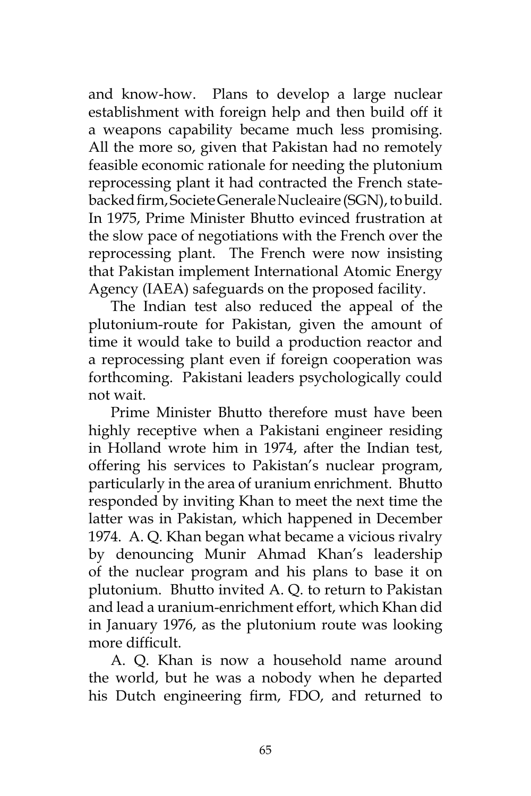and know-how. Plans to develop a large nuclear establishment with foreign help and then build off it a weapons capability became much less promising. All the more so, given that Pakistan had no remotely feasible economic rationale for needing the plutonium reprocessing plant it had contracted the French statebacked firm, Societe Generale Nucleaire (SGN), to build. In 1975, Prime Minister Bhutto evinced frustration at the slow pace of negotiations with the French over the reprocessing plant. The French were now insisting that Pakistan implement International Atomic Energy Agency (IAEA) safeguards on the proposed facility.

The Indian test also reduced the appeal of the plutonium-route for Pakistan, given the amount of time it would take to build a production reactor and a reprocessing plant even if foreign cooperation was forthcoming. Pakistani leaders psychologically could not wait.

Prime Minister Bhutto therefore must have been highly receptive when a Pakistani engineer residing in Holland wrote him in 1974, after the Indian test, offering his services to Pakistan's nuclear program, particularly in the area of uranium enrichment. Bhutto responded by inviting Khan to meet the next time the latter was in Pakistan, which happened in December 1974. A. Q. Khan began what became a vicious rivalry by denouncing Munir Ahmad Khan's leadership of the nuclear program and his plans to base it on plutonium. Bhutto invited A. Q. to return to Pakistan and lead a uranium-enrichment effort, which Khan did in January 1976, as the plutonium route was looking more difficult.

A. Q. Khan is now a household name around the world, but he was a nobody when he departed his Dutch engineering firm, FDO, and returned to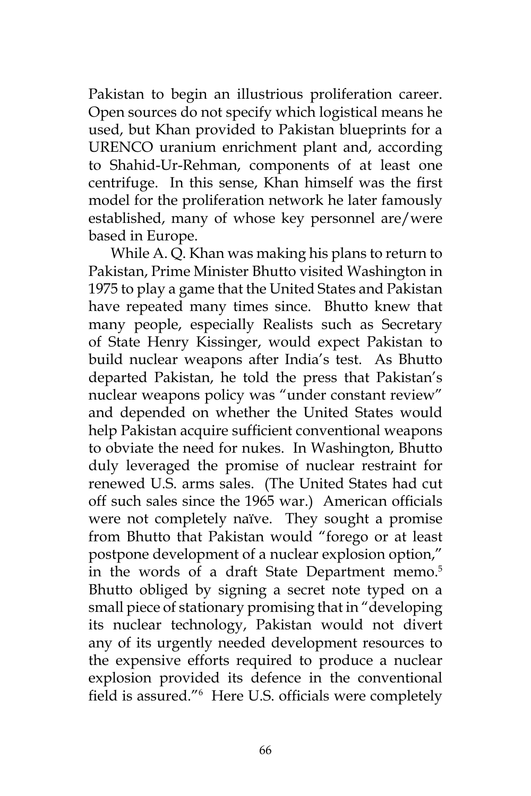Pakistan to begin an illustrious proliferation career. Open sources do not specify which logistical means he used, but Khan provided to Pakistan blueprints for a URENCO uranium enrichment plant and, according to Shahid-Ur-Rehman, components of at least one centrifuge. In this sense, Khan himself was the first model for the proliferation network he later famously established, many of whose key personnel are/were based in Europe.

While A. Q. Khan was making his plans to return to Pakistan, Prime Minister Bhutto visited Washington in 1975 to play a game that the United States and Pakistan have repeated many times since. Bhutto knew that many people, especially Realists such as Secretary of State Henry Kissinger, would expect Pakistan to build nuclear weapons after India's test. As Bhutto departed Pakistan, he told the press that Pakistan's nuclear weapons policy was "under constant review" and depended on whether the United States would help Pakistan acquire sufficient conventional weapons to obviate the need for nukes. In Washington, Bhutto duly leveraged the promise of nuclear restraint for renewed U.S. arms sales. (The United States had cut off such sales since the 1965 war.) American officials were not completely naïve. They sought a promise from Bhutto that Pakistan would "forego or at least postpone development of a nuclear explosion option," in the words of a draft State Department memo.<sup>5</sup> Bhutto obliged by signing a secret note typed on a small piece of stationary promising that in "developing its nuclear technology, Pakistan would not divert any of its urgently needed development resources to the expensive efforts required to produce a nuclear explosion provided its defence in the conventional field is assured."<sup>6</sup> Here U.S. officials were completely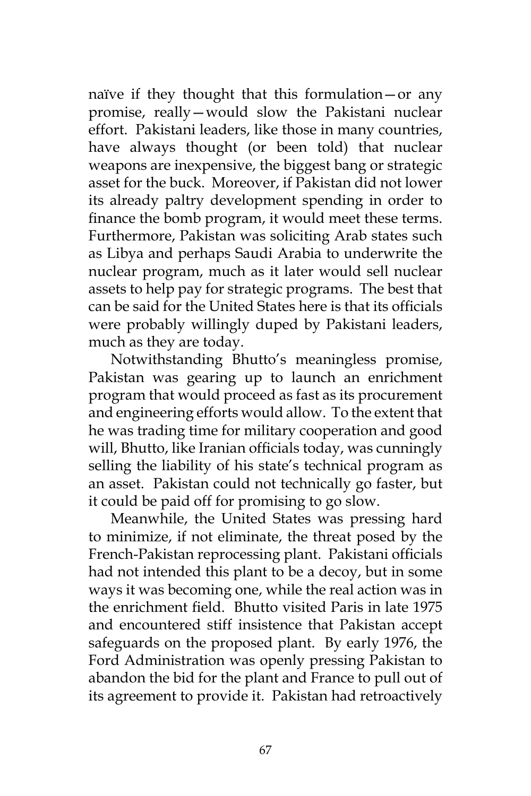naïve if they thought that this formulation—or any promise, really—would slow the Pakistani nuclear effort. Pakistani leaders, like those in many countries, have always thought (or been told) that nuclear weapons are inexpensive, the biggest bang or strategic asset for the buck. Moreover, if Pakistan did not lower its already paltry development spending in order to finance the bomb program, it would meet these terms. Furthermore, Pakistan was soliciting Arab states such as Libya and perhaps Saudi Arabia to underwrite the nuclear program, much as it later would sell nuclear assets to help pay for strategic programs. The best that can be said for the United States here is that its officials were probably willingly duped by Pakistani leaders, much as they are today.

Notwithstanding Bhutto's meaningless promise, Pakistan was gearing up to launch an enrichment program that would proceed as fast as its procurement and engineering efforts would allow. To the extent that he was trading time for military cooperation and good will, Bhutto, like Iranian officials today, was cunningly selling the liability of his state's technical program as an asset. Pakistan could not technically go faster, but it could be paid off for promising to go slow.

Meanwhile, the United States was pressing hard to minimize, if not eliminate, the threat posed by the French-Pakistan reprocessing plant. Pakistani officials had not intended this plant to be a decoy, but in some ways it was becoming one, while the real action was in the enrichment field. Bhutto visited Paris in late 1975 and encountered stiff insistence that Pakistan accept safeguards on the proposed plant. By early 1976, the Ford Administration was openly pressing Pakistan to abandon the bid for the plant and France to pull out of its agreement to provide it. Pakistan had retroactively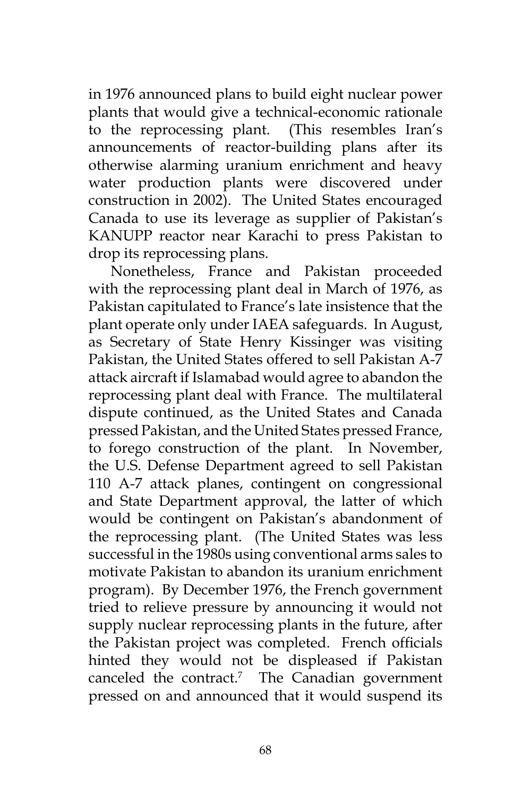in 1976 announced plans to build eight nuclear power plants that would give a technical-economic rationale to the reprocessing plant. (This resembles Iran's announcements of reactor-building plans after its otherwise alarming uranium enrichment and heavy water production plants were discovered under construction in 2002). The United States encouraged Canada to use its leverage as supplier of Pakistan's KANUPP reactor near Karachi to press Pakistan to drop its reprocessing plans.

Nonetheless, France and Pakistan proceeded with the reprocessing plant deal in March of 1976, as Pakistan capitulated to France's late insistence that the plant operate only under IAEA safeguards. In August, as Secretary of State Henry Kissinger was visiting Pakistan, the United States offered to sell Pakistan A-7 attack aircraft if Islamabad would agree to abandon the reprocessing plant deal with France. The multilateral dispute continued, as the United States and Canada pressed Pakistan, and the United States pressed France, to forego construction of the plant. In November, the U.S. Defense Department agreed to sell Pakistan 110 A-7 attack planes, contingent on congressional and State Department approval, the latter of which would be contingent on Pakistan's abandonment of the reprocessing plant. (The United States was less successful in the 1980s using conventional arms sales to motivate Pakistan to abandon its uranium enrichment program). By December 1976, the French government tried to relieve pressure by announcing it would not supply nuclear reprocessing plants in the future, after the Pakistan project was completed. French officials hinted they would not be displeased if Pakistan canceled the contract.7 The Canadian government pressed on and announced that it would suspend its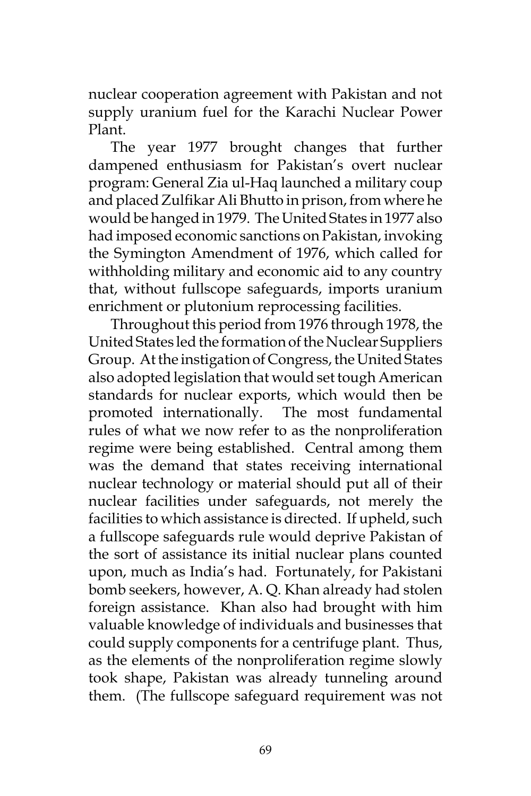nuclear cooperation agreement with Pakistan and not supply uranium fuel for the Karachi Nuclear Power Plant.

The year 1977 brought changes that further dampened enthusiasm for Pakistan's overt nuclear program: General Zia ul-Haq launched a military coup and placed Zulfikar Ali Bhutto in prison, from where he would be hanged in 1979. The United States in 1977 also had imposed economic sanctions on Pakistan, invoking the Symington Amendment of 1976, which called for withholding military and economic aid to any country that, without fullscope safeguards, imports uranium enrichment or plutonium reprocessing facilities.

Throughout this period from 1976 through 1978, the United States led the formation of the Nuclear Suppliers Group. At the instigation of Congress, the United States also adopted legislation that would set tough American standards for nuclear exports, which would then be promoted internationally. The most fundamental rules of what we now refer to as the nonproliferation regime were being established. Central among them was the demand that states receiving international nuclear technology or material should put all of their nuclear facilities under safeguards, not merely the facilities to which assistance is directed. If upheld, such a fullscope safeguards rule would deprive Pakistan of the sort of assistance its initial nuclear plans counted upon, much as India's had. Fortunately, for Pakistani bomb seekers, however, A. Q. Khan already had stolen foreign assistance. Khan also had brought with him valuable knowledge of individuals and businesses that could supply components for a centrifuge plant. Thus, as the elements of the nonproliferation regime slowly took shape, Pakistan was already tunneling around them. (The fullscope safeguard requirement was not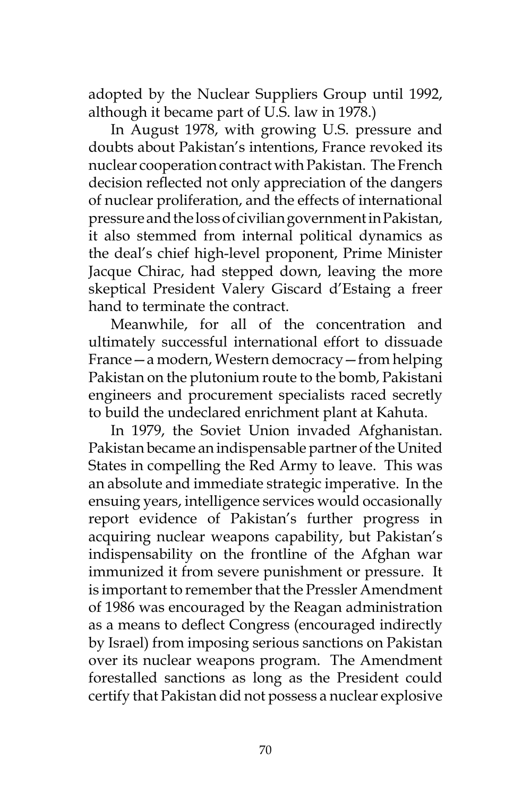adopted by the Nuclear Suppliers Group until 1992, although it became part of U.S. law in 1978.)

In August 1978, with growing U.S. pressure and doubts about Pakistan's intentions, France revoked its nuclear cooperation contract with Pakistan. The French decision reflected not only appreciation of the dangers of nuclear proliferation, and the effects of international pressure and the loss of civilian government in Pakistan, it also stemmed from internal political dynamics as the deal's chief high-level proponent, Prime Minister Jacque Chirac, had stepped down, leaving the more skeptical President Valery Giscard d'Estaing a freer hand to terminate the contract.

Meanwhile, for all of the concentration and ultimately successful international effort to dissuade France—a modern, Western democracy—from helping Pakistan on the plutonium route to the bomb, Pakistani engineers and procurement specialists raced secretly to build the undeclared enrichment plant at Kahuta.

In 1979, the Soviet Union invaded Afghanistan. Pakistan became an indispensable partner of the United States in compelling the Red Army to leave. This was an absolute and immediate strategic imperative. In the ensuing years, intelligence services would occasionally report evidence of Pakistan's further progress in acquiring nuclear weapons capability, but Pakistan's indispensability on the frontline of the Afghan war immunized it from severe punishment or pressure. It is important to remember that the Pressler Amendment of 1986 was encouraged by the Reagan administration as a means to deflect Congress (encouraged indirectly by Israel) from imposing serious sanctions on Pakistan over its nuclear weapons program. The Amendment forestalled sanctions as long as the President could certify that Pakistan did not possess a nuclear explosive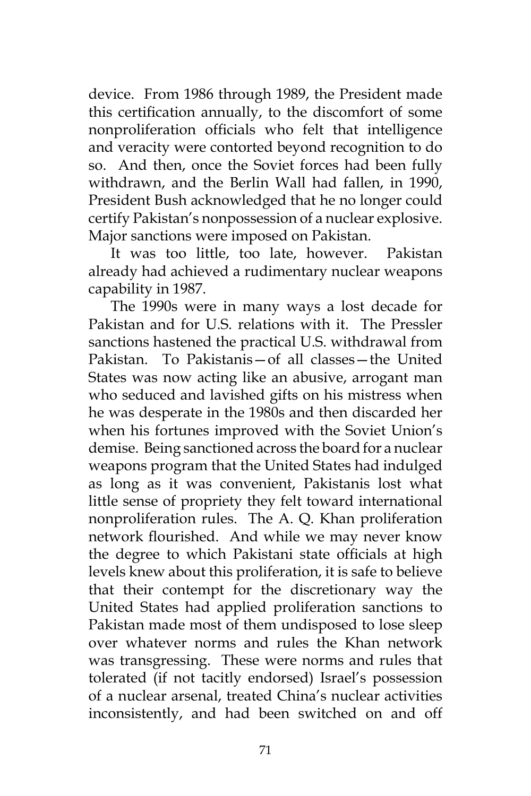device. From 1986 through 1989, the President made this certification annually, to the discomfort of some nonproliferation officials who felt that intelligence and veracity were contorted beyond recognition to do so. And then, once the Soviet forces had been fully withdrawn, and the Berlin Wall had fallen, in 1990, President Bush acknowledged that he no longer could certify Pakistan's nonpossession of a nuclear explosive. Major sanctions were imposed on Pakistan.

It was too little, too late, however. Pakistan already had achieved a rudimentary nuclear weapons capability in 1987.

The 1990s were in many ways a lost decade for Pakistan and for U.S. relations with it. The Pressler sanctions hastened the practical U.S. withdrawal from Pakistan. To Pakistanis—of all classes—the United States was now acting like an abusive, arrogant man who seduced and lavished gifts on his mistress when he was desperate in the 1980s and then discarded her when his fortunes improved with the Soviet Union's demise. Being sanctioned across the board for a nuclear weapons program that the United States had indulged as long as it was convenient, Pakistanis lost what little sense of propriety they felt toward international nonproliferation rules. The A. Q. Khan proliferation network flourished. And while we may never know the degree to which Pakistani state officials at high levels knew about this proliferation, it is safe to believe that their contempt for the discretionary way the United States had applied proliferation sanctions to Pakistan made most of them undisposed to lose sleep over whatever norms and rules the Khan network was transgressing. These were norms and rules that tolerated (if not tacitly endorsed) Israel's possession of a nuclear arsenal, treated China's nuclear activities inconsistently, and had been switched on and off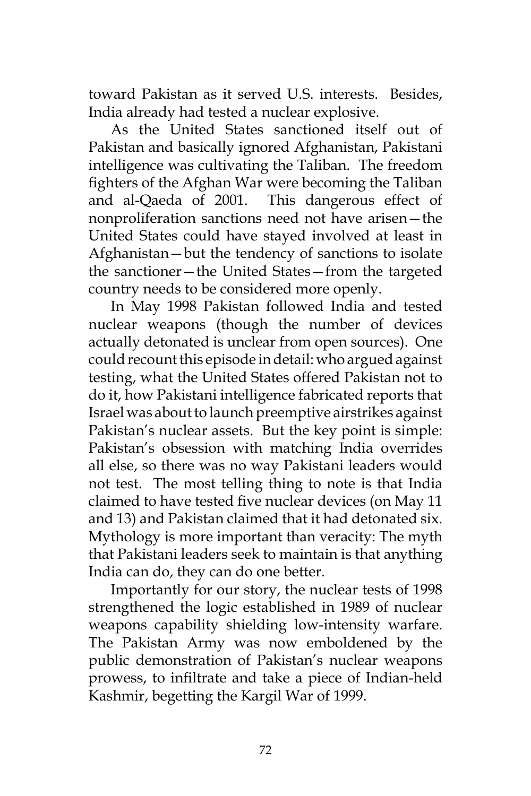toward Pakistan as it served U.S. interests. Besides, India already had tested a nuclear explosive.

As the United States sanctioned itself out of Pakistan and basically ignored Afghanistan, Pakistani intelligence was cultivating the Taliban. The freedom fighters of the Afghan War were becoming the Taliban and al-Qaeda of 2001. This dangerous effect of nonproliferation sanctions need not have arisen—the United States could have stayed involved at least in Afghanistan—but the tendency of sanctions to isolate the sanctioner—the United States—from the targeted country needs to be considered more openly.

In May 1998 Pakistan followed India and tested nuclear weapons (though the number of devices actually detonated is unclear from open sources). One could recount this episode in detail: who argued against testing, what the United States offered Pakistan not to do it, how Pakistani intelligence fabricated reports that Israel was about to launch preemptive airstrikes against Pakistan's nuclear assets. But the key point is simple: Pakistan's obsession with matching India overrides all else, so there was no way Pakistani leaders would not test. The most telling thing to note is that India claimed to have tested five nuclear devices (on May 11 and 13) and Pakistan claimed that it had detonated six. Mythology is more important than veracity: The myth that Pakistani leaders seek to maintain is that anything India can do, they can do one better.

Importantly for our story, the nuclear tests of 1998 strengthened the logic established in 1989 of nuclear weapons capability shielding low-intensity warfare. The Pakistan Army was now emboldened by the public demonstration of Pakistan's nuclear weapons prowess, to infiltrate and take a piece of Indian-held Kashmir, begetting the Kargil War of 1999.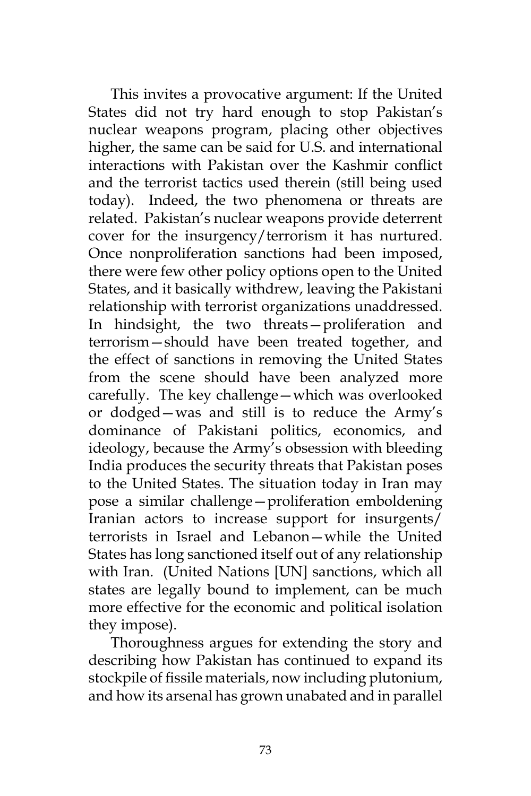This invites a provocative argument: If the United States did not try hard enough to stop Pakistan's nuclear weapons program, placing other objectives higher, the same can be said for U.S. and international interactions with Pakistan over the Kashmir conflict and the terrorist tactics used therein (still being used today). Indeed, the two phenomena or threats are related. Pakistan's nuclear weapons provide deterrent cover for the insurgency/terrorism it has nurtured. Once nonproliferation sanctions had been imposed, there were few other policy options open to the United States, and it basically withdrew, leaving the Pakistani relationship with terrorist organizations unaddressed. In hindsight, the two threats—proliferation and terrorism—should have been treated together, and the effect of sanctions in removing the United States from the scene should have been analyzed more carefully. The key challenge—which was overlooked or dodged—was and still is to reduce the Army's dominance of Pakistani politics, economics, and ideology, because the Army's obsession with bleeding India produces the security threats that Pakistan poses to the United States. The situation today in Iran may pose a similar challenge—proliferation emboldening Iranian actors to increase support for insurgents/ terrorists in Israel and Lebanon—while the United States has long sanctioned itself out of any relationship with Iran. (United Nations [UN] sanctions, which all states are legally bound to implement, can be much more effective for the economic and political isolation they impose).

Thoroughness argues for extending the story and describing how Pakistan has continued to expand its stockpile of fissile materials, now including plutonium, and how its arsenal has grown unabated and in parallel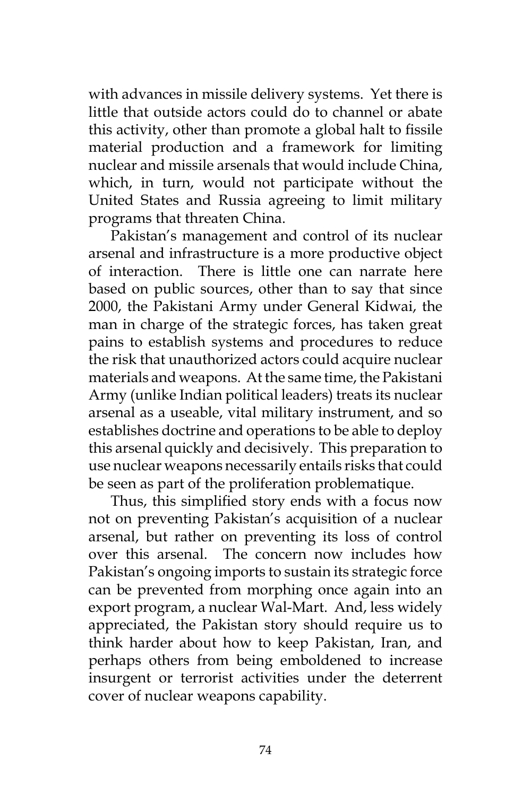with advances in missile delivery systems. Yet there is little that outside actors could do to channel or abate this activity, other than promote a global halt to fissile material production and a framework for limiting nuclear and missile arsenals that would include China, which, in turn, would not participate without the United States and Russia agreeing to limit military programs that threaten China.

Pakistan's management and control of its nuclear arsenal and infrastructure is a more productive object of interaction. There is little one can narrate here based on public sources, other than to say that since 2000, the Pakistani Army under General Kidwai, the man in charge of the strategic forces, has taken great pains to establish systems and procedures to reduce the risk that unauthorized actors could acquire nuclear materials and weapons. At the same time, the Pakistani Army (unlike Indian political leaders) treats its nuclear arsenal as a useable, vital military instrument, and so establishes doctrine and operations to be able to deploy this arsenal quickly and decisively. This preparation to use nuclear weapons necessarily entails risks that could be seen as part of the proliferation problematique.

Thus, this simplified story ends with a focus now not on preventing Pakistan's acquisition of a nuclear arsenal, but rather on preventing its loss of control over this arsenal. The concern now includes how Pakistan's ongoing imports to sustain its strategic force can be prevented from morphing once again into an export program, a nuclear Wal-Mart. And, less widely appreciated, the Pakistan story should require us to think harder about how to keep Pakistan, Iran, and perhaps others from being emboldened to increase insurgent or terrorist activities under the deterrent cover of nuclear weapons capability.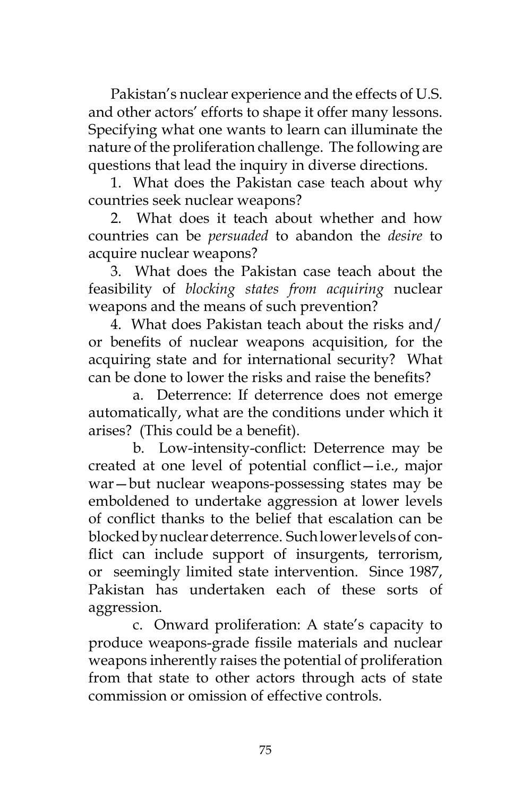Pakistan's nuclear experience and the effects of U.S. and other actors' efforts to shape it offer many lessons. Specifying what one wants to learn can illuminate the nature of the proliferation challenge. The following are questions that lead the inquiry in diverse directions.

1. What does the Pakistan case teach about why countries seek nuclear weapons?

2. What does it teach about whether and how countries can be *persuaded* to abandon the *desire* to acquire nuclear weapons?

3. What does the Pakistan case teach about the feasibility of *blocking states from acquiring* nuclear weapons and the means of such prevention?

4. What does Pakistan teach about the risks and/ or benefits of nuclear weapons acquisition, for the acquiring state and for international security? What can be done to lower the risks and raise the benefits?

 a. Deterrence: If deterrence does not emerge automatically, what are the conditions under which it arises? (This could be a benefit).

b. Low-intensity-conflict: Deterrence may be created at one level of potential conflict—i.e., major war—but nuclear weapons-possessing states may be emboldened to undertake aggression at lower levels of conflict thanks to the belief that escalation can be blocked by nuclear deterrence. Such lower levels of conflict can include support of insurgents, terrorism, or seemingly limited state intervention. Since 1987, Pakistan has undertaken each of these sorts of aggression.

 c. Onward proliferation: A state's capacity to produce weapons-grade fissile materials and nuclear weapons inherently raises the potential of proliferation from that state to other actors through acts of state commission or omission of effective controls.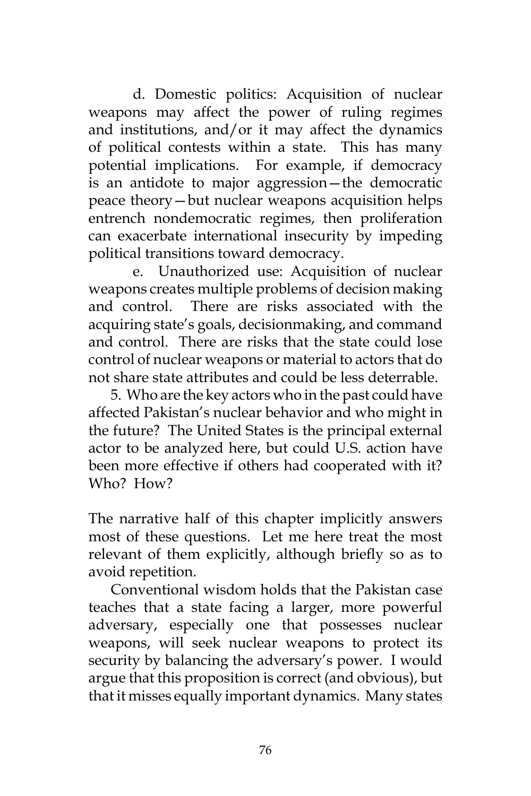d. Domestic politics: Acquisition of nuclear weapons may affect the power of ruling regimes and institutions, and/or it may affect the dynamics of political contests within a state. This has many potential implications. For example, if democracy is an antidote to major aggression—the democratic peace theory—but nuclear weapons acquisition helps entrench nondemocratic regimes, then proliferation can exacerbate international insecurity by impeding political transitions toward democracy.

e. Unauthorized use: Acquisition of nuclear weapons creates multiple problems of decision making and control. There are risks associated with the acquiring state's goals, decisionmaking, and command and control. There are risks that the state could lose control of nuclear weapons or material to actors that do not share state attributes and could be less deterrable.

5. Who are the key actors who in the past could have affected Pakistan's nuclear behavior and who might in the future? The United States is the principal external actor to be analyzed here, but could U.S. action have been more effective if others had cooperated with it? Who? How?

The narrative half of this chapter implicitly answers most of these questions. Let me here treat the most relevant of them explicitly, although briefly so as to avoid repetition.

Conventional wisdom holds that the Pakistan case teaches that a state facing a larger, more powerful adversary, especially one that possesses nuclear weapons, will seek nuclear weapons to protect its security by balancing the adversary's power. I would argue that this proposition is correct (and obvious), but that it misses equally important dynamics. Many states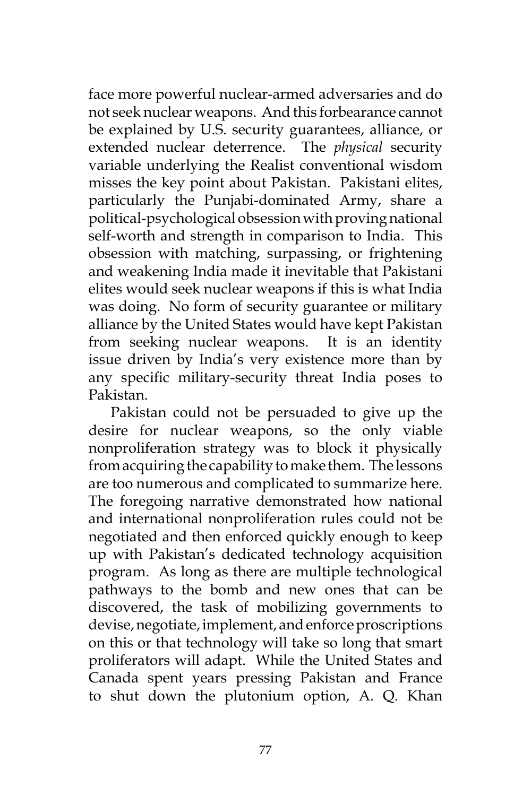face more powerful nuclear-armed adversaries and do not seek nuclear weapons. And this forbearance cannot be explained by U.S. security guarantees, alliance, or extended nuclear deterrence. The *physical* security variable underlying the Realist conventional wisdom misses the key point about Pakistan. Pakistani elites, particularly the Punjabi-dominated Army, share a political-psychological obsession with proving national self-worth and strength in comparison to India. This obsession with matching, surpassing, or frightening and weakening India made it inevitable that Pakistani elites would seek nuclear weapons if this is what India was doing. No form of security guarantee or military alliance by the United States would have kept Pakistan from seeking nuclear weapons. It is an identity issue driven by India's very existence more than by any specific military-security threat India poses to Pakistan.

Pakistan could not be persuaded to give up the desire for nuclear weapons, so the only viable nonproliferation strategy was to block it physically from acquiring the capability to make them. The lessons are too numerous and complicated to summarize here. The foregoing narrative demonstrated how national and international nonproliferation rules could not be negotiated and then enforced quickly enough to keep up with Pakistan's dedicated technology acquisition program. As long as there are multiple technological pathways to the bomb and new ones that can be discovered, the task of mobilizing governments to devise, negotiate, implement, and enforce proscriptions on this or that technology will take so long that smart proliferators will adapt. While the United States and Canada spent years pressing Pakistan and France to shut down the plutonium option, A. Q. Khan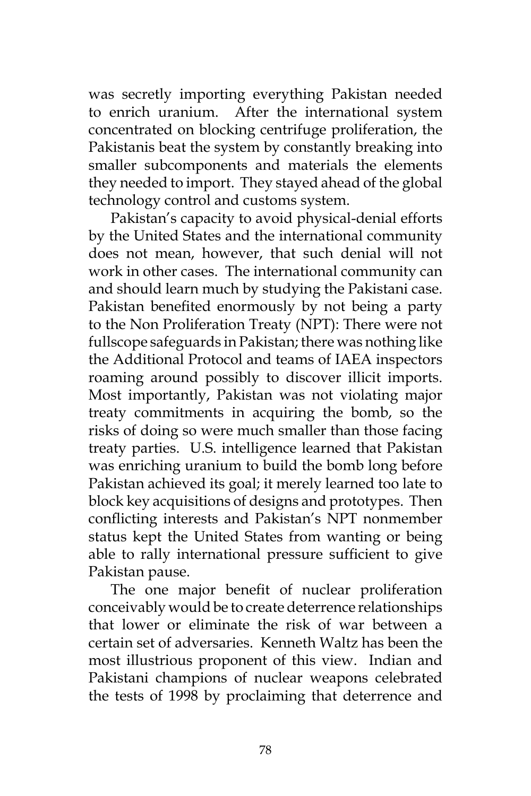was secretly importing everything Pakistan needed to enrich uranium. After the international system concentrated on blocking centrifuge proliferation, the Pakistanis beat the system by constantly breaking into smaller subcomponents and materials the elements they needed to import. They stayed ahead of the global technology control and customs system.

Pakistan's capacity to avoid physical-denial efforts by the United States and the international community does not mean, however, that such denial will not work in other cases. The international community can and should learn much by studying the Pakistani case. Pakistan benefited enormously by not being a party to the Non Proliferation Treaty (NPT): There were not fullscope safeguards in Pakistan; there was nothing like the Additional Protocol and teams of IAEA inspectors roaming around possibly to discover illicit imports. Most importantly, Pakistan was not violating major treaty commitments in acquiring the bomb, so the risks of doing so were much smaller than those facing treaty parties. U.S. intelligence learned that Pakistan was enriching uranium to build the bomb long before Pakistan achieved its goal; it merely learned too late to block key acquisitions of designs and prototypes. Then conflicting interests and Pakistan's NPT nonmember status kept the United States from wanting or being able to rally international pressure sufficient to give Pakistan pause.

The one major benefit of nuclear proliferation conceivably would be to create deterrence relationships that lower or eliminate the risk of war between a certain set of adversaries. Kenneth Waltz has been the most illustrious proponent of this view. Indian and Pakistani champions of nuclear weapons celebrated the tests of 1998 by proclaiming that deterrence and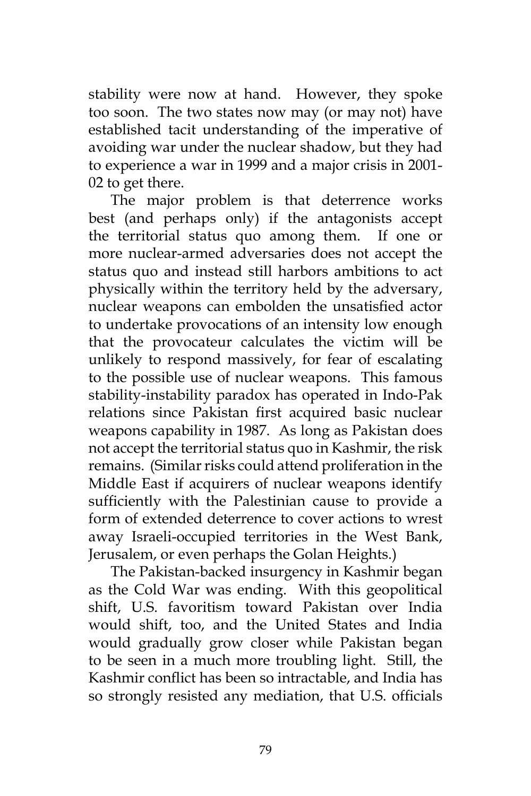stability were now at hand. However, they spoke too soon. The two states now may (or may not) have established tacit understanding of the imperative of avoiding war under the nuclear shadow, but they had to experience a war in 1999 and a major crisis in 2001- 02 to get there.

The major problem is that deterrence works best (and perhaps only) if the antagonists accept the territorial status quo among them. If one or more nuclear-armed adversaries does not accept the status quo and instead still harbors ambitions to act physically within the territory held by the adversary, nuclear weapons can embolden the unsatisfied actor to undertake provocations of an intensity low enough that the provocateur calculates the victim will be unlikely to respond massively, for fear of escalating to the possible use of nuclear weapons. This famous stability-instability paradox has operated in Indo-Pak relations since Pakistan first acquired basic nuclear weapons capability in 1987. As long as Pakistan does not accept the territorial status quo in Kashmir, the risk remains. (Similar risks could attend proliferation in the Middle East if acquirers of nuclear weapons identify sufficiently with the Palestinian cause to provide a form of extended deterrence to cover actions to wrest away Israeli-occupied territories in the West Bank, Jerusalem, or even perhaps the Golan Heights.)

The Pakistan-backed insurgency in Kashmir began as the Cold War was ending. With this geopolitical shift, U.S. favoritism toward Pakistan over India would shift, too, and the United States and India would gradually grow closer while Pakistan began to be seen in a much more troubling light. Still, the Kashmir conflict has been so intractable, and India has so strongly resisted any mediation, that U.S. officials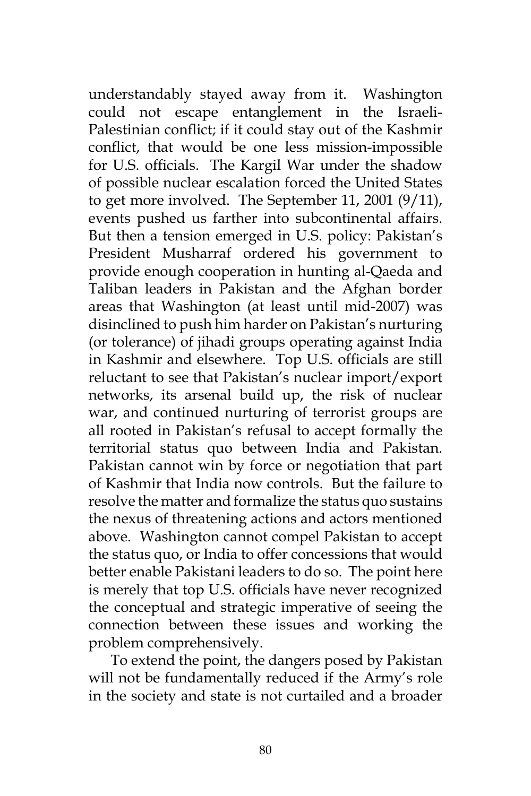understandably stayed away from it. Washington could not escape entanglement in the Israeli-Palestinian conflict; if it could stay out of the Kashmir conflict, that would be one less mission-impossible for U.S. officials. The Kargil War under the shadow of possible nuclear escalation forced the United States to get more involved. The September 11, 2001 (9/11), events pushed us farther into subcontinental affairs. But then a tension emerged in U.S. policy: Pakistan's President Musharraf ordered his government to provide enough cooperation in hunting al-Qaeda and Taliban leaders in Pakistan and the Afghan border areas that Washington (at least until mid-2007) was disinclined to push him harder on Pakistan's nurturing (or tolerance) of jihadi groups operating against India in Kashmir and elsewhere. Top U.S. officials are still reluctant to see that Pakistan's nuclear import/export networks, its arsenal build up, the risk of nuclear war, and continued nurturing of terrorist groups are all rooted in Pakistan's refusal to accept formally the territorial status quo between India and Pakistan. Pakistan cannot win by force or negotiation that part of Kashmir that India now controls. But the failure to resolve the matter and formalize the status quo sustains the nexus of threatening actions and actors mentioned above. Washington cannot compel Pakistan to accept the status quo, or India to offer concessions that would better enable Pakistani leaders to do so. The point here is merely that top U.S. officials have never recognized the conceptual and strategic imperative of seeing the connection between these issues and working the problem comprehensively.

To extend the point, the dangers posed by Pakistan will not be fundamentally reduced if the Army's role in the society and state is not curtailed and a broader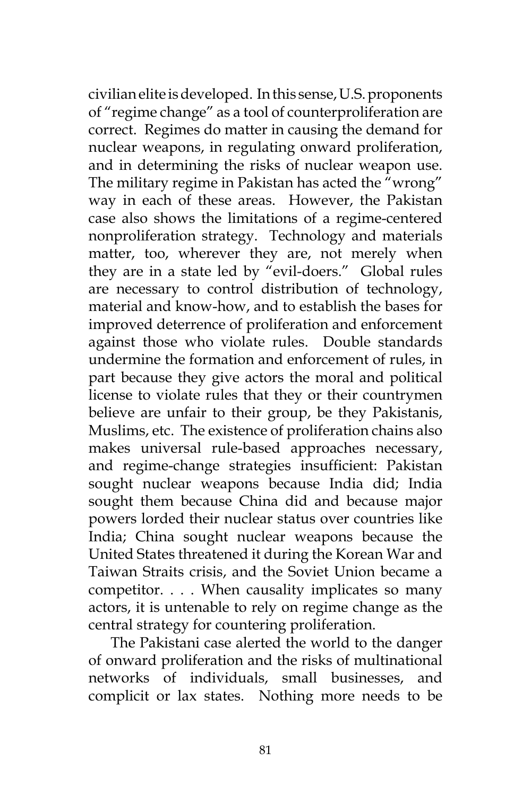civilian elite is developed. In this sense, U.S. proponents of "regime change" as a tool of counterproliferation are correct. Regimes do matter in causing the demand for nuclear weapons, in regulating onward proliferation, and in determining the risks of nuclear weapon use. The military regime in Pakistan has acted the "wrong" way in each of these areas. However, the Pakistan case also shows the limitations of a regime-centered nonproliferation strategy. Technology and materials matter, too, wherever they are, not merely when they are in a state led by "evil-doers." Global rules are necessary to control distribution of technology, material and know-how, and to establish the bases for improved deterrence of proliferation and enforcement against those who violate rules. Double standards undermine the formation and enforcement of rules, in part because they give actors the moral and political license to violate rules that they or their countrymen believe are unfair to their group, be they Pakistanis, Muslims, etc. The existence of proliferation chains also makes universal rule-based approaches necessary, and regime-change strategies insufficient: Pakistan sought nuclear weapons because India did; India sought them because China did and because major powers lorded their nuclear status over countries like India; China sought nuclear weapons because the United States threatened it during the Korean War and Taiwan Straits crisis, and the Soviet Union became a competitor. . . . When causality implicates so many actors, it is untenable to rely on regime change as the central strategy for countering proliferation.

The Pakistani case alerted the world to the danger of onward proliferation and the risks of multinational networks of individuals, small businesses, and complicit or lax states. Nothing more needs to be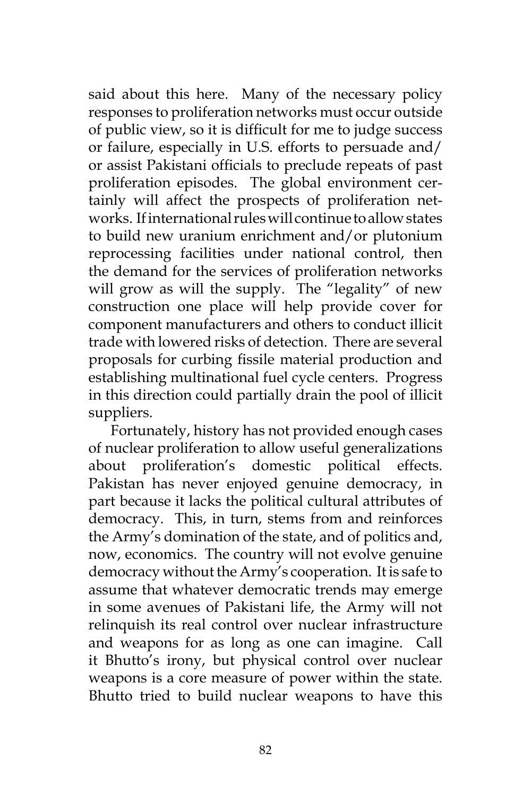said about this here. Many of the necessary policy responses to proliferation networks must occur outside of public view, so it is difficult for me to judge success or failure, especially in U.S. efforts to persuade and/ or assist Pakistani officials to preclude repeats of past proliferation episodes. The global environment certainly will affect the prospects of proliferation networks. If international rules will continue to allow states to build new uranium enrichment and/or plutonium reprocessing facilities under national control, then the demand for the services of proliferation networks will grow as will the supply. The "legality" of new construction one place will help provide cover for component manufacturers and others to conduct illicit trade with lowered risks of detection. There are several proposals for curbing fissile material production and establishing multinational fuel cycle centers. Progress in this direction could partially drain the pool of illicit suppliers.

Fortunately, history has not provided enough cases of nuclear proliferation to allow useful generalizations about proliferation's domestic political effects. Pakistan has never enjoyed genuine democracy, in part because it lacks the political cultural attributes of democracy. This, in turn, stems from and reinforces the Army's domination of the state, and of politics and, now, economics. The country will not evolve genuine democracy without the Army's cooperation. It is safe to assume that whatever democratic trends may emerge in some avenues of Pakistani life, the Army will not relinquish its real control over nuclear infrastructure and weapons for as long as one can imagine. Call it Bhutto's irony, but physical control over nuclear weapons is a core measure of power within the state. Bhutto tried to build nuclear weapons to have this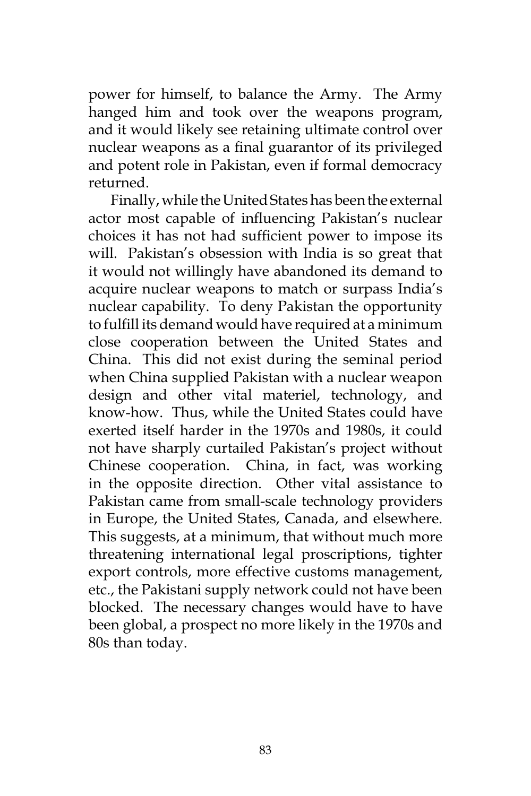power for himself, to balance the Army. The Army hanged him and took over the weapons program, and it would likely see retaining ultimate control over nuclear weapons as a final guarantor of its privileged and potent role in Pakistan, even if formal democracy returned.

Finally, while the United States has been the external actor most capable of influencing Pakistan's nuclear choices it has not had sufficient power to impose its will. Pakistan's obsession with India is so great that it would not willingly have abandoned its demand to acquire nuclear weapons to match or surpass India's nuclear capability. To deny Pakistan the opportunity to fulfill its demand would have required at a minimum close cooperation between the United States and China. This did not exist during the seminal period when China supplied Pakistan with a nuclear weapon design and other vital materiel, technology, and know-how. Thus, while the United States could have exerted itself harder in the 1970s and 1980s, it could not have sharply curtailed Pakistan's project without Chinese cooperation. China, in fact, was working in the opposite direction. Other vital assistance to Pakistan came from small-scale technology providers in Europe, the United States, Canada, and elsewhere. This suggests, at a minimum, that without much more threatening international legal proscriptions, tighter export controls, more effective customs management, etc., the Pakistani supply network could not have been blocked. The necessary changes would have to have been global, a prospect no more likely in the 1970s and 80s than today.